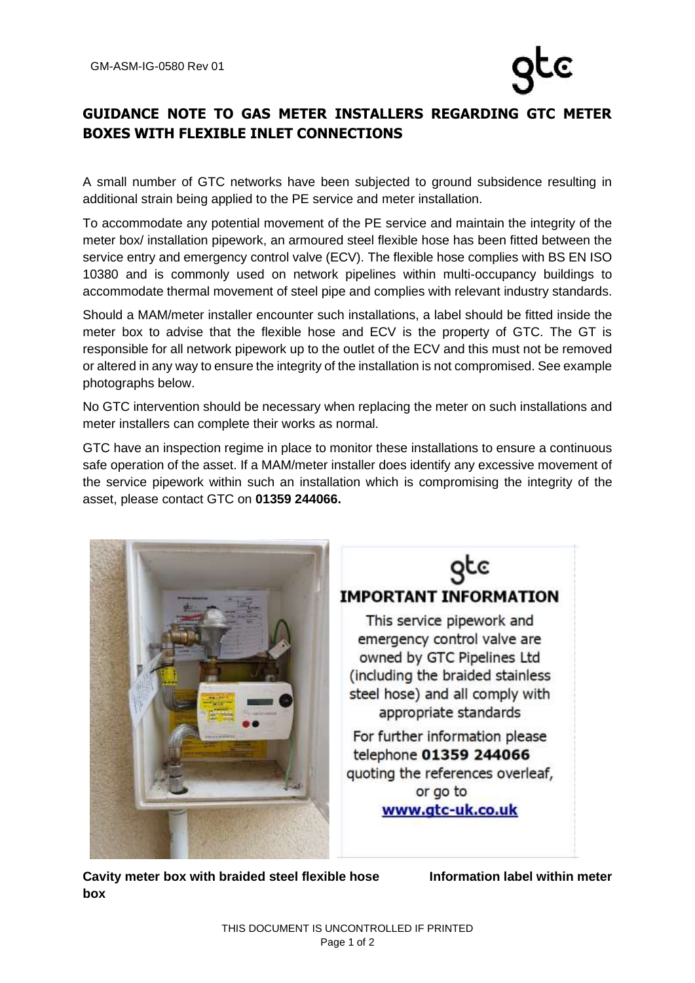## **GUIDANCE NOTE TO GAS METER INSTALLERS REGARDING GTC METER BOXES WITH FLEXIBLE INLET CONNECTIONS**

A small number of GTC networks have been subjected to ground subsidence resulting in additional strain being applied to the PE service and meter installation.

To accommodate any potential movement of the PE service and maintain the integrity of the meter box/ installation pipework, an armoured steel flexible hose has been fitted between the service entry and emergency control valve (ECV). The flexible hose complies with BS EN ISO 10380 and is commonly used on network pipelines within multi-occupancy buildings to accommodate thermal movement of steel pipe and complies with relevant industry standards.

Should a MAM/meter installer encounter such installations, a label should be fitted inside the meter box to advise that the flexible hose and ECV is the property of GTC. The GT is responsible for all network pipework up to the outlet of the ECV and this must not be removed or altered in any way to ensure the integrity of the installation is not compromised. See example photographs below.

No GTC intervention should be necessary when replacing the meter on such installations and meter installers can complete their works as normal.

GTC have an inspection regime in place to monitor these installations to ensure a continuous safe operation of the asset. If a MAM/meter installer does identify any excessive movement of the service pipework within such an installation which is compromising the integrity of the asset, please contact GTC on **01359 244066.** 





Cavity meter box with braided steel flexible hose **Information label within meter box**

QCC